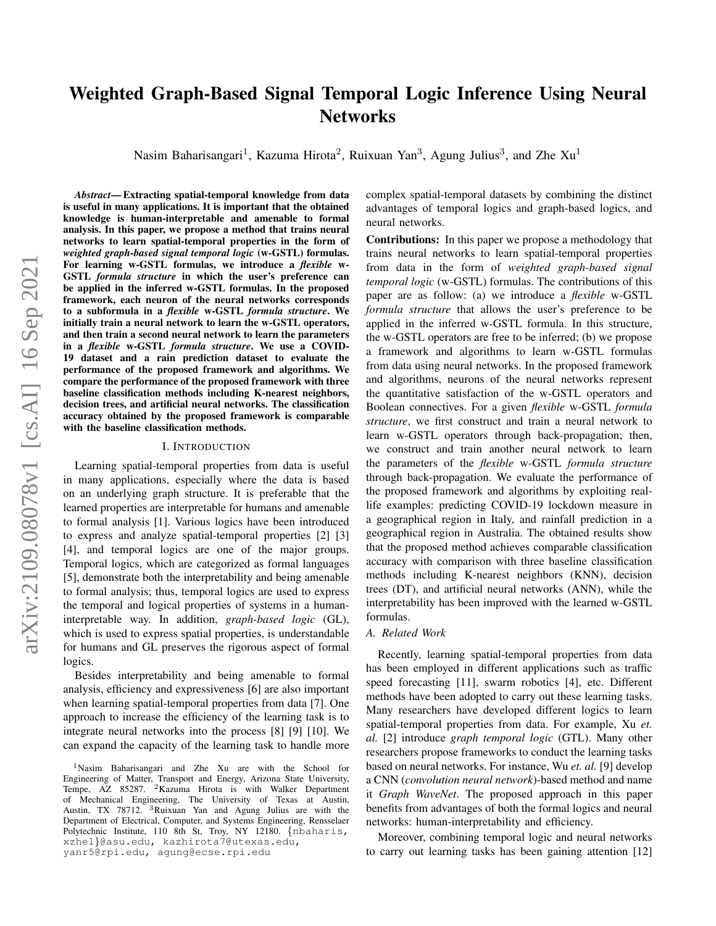# <span id="page-0-0"></span>Weighted Graph-Based Signal Temporal Logic Inference Using Neural **Networks**

Nasim Baharisangari<sup>1</sup>, Kazuma Hirota<sup>2</sup>, Ruixuan Yan<sup>3</sup>, Agung Julius<sup>3</sup>, and Zhe Xu<sup>1</sup>

*Abstract*— Extracting spatial-temporal knowledge from data is useful in many applications. It is important that the obtained knowledge is human-interpretable and amenable to formal analysis. In this paper, we propose a method that trains neural networks to learn spatial-temporal properties in the form of *weighted graph-based signal temporal logic* (w-GSTL) formulas. For learning w-GSTL formulas, we introduce a *flexible* w-GSTL *formula structure* in which the user's preference can be applied in the inferred w-GSTL formulas. In the proposed framework, each neuron of the neural networks corresponds to a subformula in a *flexible* w-GSTL *formula structure*. We initially train a neural network to learn the w-GSTL operators, and then train a second neural network to learn the parameters in a *flexible* w-GSTL *formula structure*. We use a COVID-19 dataset and a rain prediction dataset to evaluate the performance of the proposed framework and algorithms. We compare the performance of the proposed framework with three baseline classification methods including K-nearest neighbors, decision trees, and artificial neural networks. The classification accuracy obtained by the proposed framework is comparable with the baseline classification methods.

#### I. INTRODUCTION

Learning spatial-temporal properties from data is useful in many applications, especially where the data is based on an underlying graph structure. It is preferable that the learned properties are interpretable for humans and amenable to formal analysis [1]. Various logics have been introduced to express and analyze spatial-temporal properties [2] [3] [4], and temporal logics are one of the major groups. Temporal logics, which are categorized as formal languages [5], demonstrate both the interpretability and being amenable to formal analysis; thus, temporal logics are used to express the temporal and logical properties of systems in a humaninterpretable way. In addition, *graph-based logic* (GL), which is used to express spatial properties, is understandable for humans and GL preserves the rigorous aspect of formal logics.

Besides interpretability and being amenable to formal analysis, efficiency and expressiveness [6] are also important when learning spatial-temporal properties from data [7]. One approach to increase the efficiency of the learning task is to integrate neural networks into the process [8] [9] [10]. We can expand the capacity of the learning task to handle more

yanr5@rpi.edu, agung@ecse.rpi.edu

complex spatial-temporal datasets by combining the distinct advantages of temporal logics and graph-based logics, and neural networks.

Contributions: In this paper we propose a methodology that trains neural networks to learn spatial-temporal properties from data in the form of *weighted graph-based signal temporal logic* (w-GSTL) formulas. The contributions of this paper are as follow: (a) we introduce a *flexible* w-GSTL *formula structure* that allows the user's preference to be applied in the inferred w-GSTL formula. In this structure, the w-GSTL operators are free to be inferred; (b) we propose a framework and algorithms to learn w-GSTL formulas from data using neural networks. In the proposed framework and algorithms, neurons of the neural networks represent the quantitative satisfaction of the w-GSTL operators and Boolean connectives. For a given *flexible* w-GSTL *formula structure*, we first construct and train a neural network to learn w-GSTL operators through back-propagation; then, we construct and train another neural network to learn the parameters of the *flexible* w-GSTL *formula structure* through back-propagation. We evaluate the performance of the proposed framework and algorithms by exploiting reallife examples: predicting COVID-19 lockdown measure in a geographical region in Italy, and rainfall prediction in a geographical region in Australia. The obtained results show that the proposed method achieves comparable classification accuracy with comparison with three baseline classification methods including K-nearest neighbors (KNN), decision trees (DT), and artificial neural networks (ANN), while the interpretability has been improved with the learned w-GSTL formulas.

#### *A. Related Work*

Recently, learning spatial-temporal properties from data has been employed in different applications such as traffic speed forecasting [11], swarm robotics [4], etc. Different methods have been adopted to carry out these learning tasks. Many researchers have developed different logics to learn spatial-temporal properties from data. For example, Xu *et. al.* [2] introduce *graph temporal logic* (GTL). Many other researchers propose frameworks to conduct the learning tasks based on neural networks. For instance, Wu *et. al.* [9] develop a CNN (*convolution neural network*)-based method and name it *Graph WaveNet*. The proposed approach in this paper benefits from advantages of both the formal logics and neural networks: human-interpretability and efficiency.

Moreover, combining temporal logic and neural networks to carry out learning tasks has been gaining attention [12]

<sup>1</sup>Nasim Baharisangari and Zhe Xu are with the School for Engineering of Matter, Transport and Energy, Arizona State University, Tempe, AZ 85287. <sup>2</sup>Kazuma Hirota is with Walker Department of Mechanical Engineering, The University of Texas at Austin, Austin, TX 78712. <sup>3</sup>Ruixuan Yan and Agung Julius are with the Department of Electrical, Computer, and Systems Engineering, Rensselaer Polytechnic Institute, 110 8th St, Troy, NY 12180. {nbaharis, xzhe1}@asu.edu, kazhirota7@utexas.edu,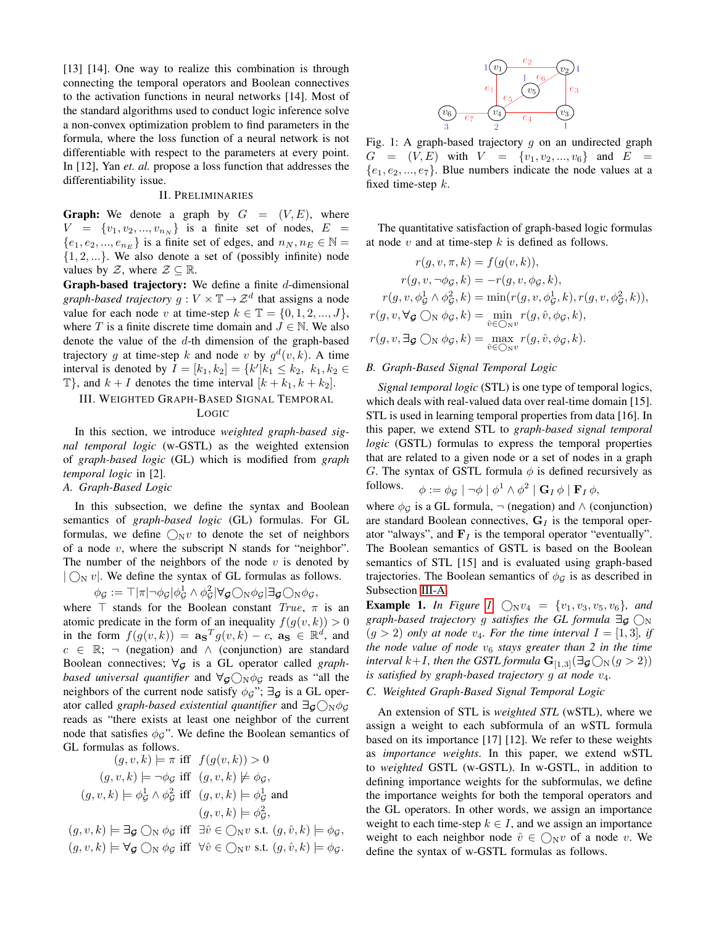[13] [14]. One way to realize this combination is through connecting the temporal operators and Boolean connectives to the activation functions in neural networks [14]. Most of the standard algorithms used to conduct logic inference solve a non-convex optimization problem to find parameters in the formula, where the loss function of a neural network is not differentiable with respect to the parameters at every point. In [12], Yan *et. al.* propose a loss function that addresses the differentiability issue.

#### II. PRELIMINARIES

**Graph:** We denote a graph by  $G = (V, E)$ , where  $V = \{v_1, v_2, ..., v_{n_N}\}\$ is a finite set of nodes,  $E =$  $\{e_1, e_2, ..., e_{n_E}\}\$ is a finite set of edges, and  $n_N, n_E \in \mathbb{N}$  =  $\{1, 2, ...\}$ . We also denote a set of (possibly infinite) node values by  $\mathcal{Z}$ , where  $\mathcal{Z} \subseteq \mathbb{R}$ .

**Graph-based trajectory:** We define a finite  $d$ -dimensional *graph-based trajectory*  $g: V \times \mathbb{T} \to \mathcal{Z}^d$  that assigns a node value for each node v at time-step  $k \in \mathbb{T} = \{0, 1, 2, ..., J\},\$ where T is a finite discrete time domain and  $J \in \mathbb{N}$ . We also denote the value of the d-th dimension of the graph-based trajectory g at time-step k and node v by  $g^d(v, k)$ . A time interval is denoted by  $I = [k_1, k_2] = \{k' | k_1 \le k_2, k_1, k_2 \in$  $\mathbb{T}$ , and  $k + I$  denotes the time interval  $[k + k_1, k + k_2]$ .

## III. WEIGHTED GRAPH-BASED SIGNAL TEMPORAL LOGIC

In this section, we introduce *weighted graph-based signal temporal logic* (w-GSTL) as the weighted extension of *graph-based logic* (GL) which is modified from *graph temporal logic* in [2].

## <span id="page-1-0"></span>*A. Graph-Based Logic*

In this subsection, we define the syntax and Boolean semantics of *graph-based logic* (GL) formulas. For GL formulas, we define  $\bigcirc_{N}v$  to denote the set of neighbors of a node  $v$ , where the subscript N stands for "neighbor". The number of the neighbors of the node  $v$  is denoted by  $|\bigcap_{N} v|$ . We define the syntax of GL formulas as follows.

$$
\phi_{\mathcal{G}} := \top |\pi| \neg \phi_{\mathcal{G}} |\phi_{\mathcal{G}}^1 \wedge \phi_{\mathcal{G}}^2| \forall_{\mathcal{G}} \bigcirc_{N} \phi_{\mathcal{G}} |\exists_{\mathcal{G}} \bigcirc_{N} \phi_{\mathcal{G}},
$$

where  $\top$  stands for the Boolean constant True,  $\pi$  is an atomic predicate in the form of an inequality  $f(g(v, k)) > 0$ in the form  $f(g(v,k)) = \mathbf{a_S}^T g(v,k) - c$ ,  $\mathbf{a_S} \in \mathbb{R}^d$ , and  $c \in \mathbb{R}$ ; ¬ (negation) and  $\wedge$  (conjunction) are standard Boolean connectives;  $\forall g$  is a GL operator called *graphbased universal quantifier* and  $\forall g$  ( $\cap$ <sub>N</sub> $\phi$ <sup>*G*</sup> reads as "all the neighbors of the current node satisfy  $\phi_{\mathcal{G}}$ ";  $\exists_{\mathcal{G}}$  is a GL operator called *graph-based existential quantifier* and  $\exists q \bigcirc_R \phi_q$ reads as "there exists at least one neighbor of the current node that satisfies  $\phi_{\mathcal{G}}$ ". We define the Boolean semantics of GL formulas as follows.

$$
(g, v, k) \models \pi \text{ iff } f(g(v, k)) > 0
$$
  

$$
(g, v, k) \models \neg \phi_{\mathcal{G}} \text{ iff } (g, v, k) \not\models \phi_{\mathcal{G}},
$$
  

$$
(g, v, k) \models \phi_{\mathcal{G}}^1 \land \phi_{\mathcal{G}}^2 \text{ iff } (g, v, k) \models \phi_{\mathcal{G}}^1 \text{ and }
$$
  

$$
(g, v, k) \models \phi_{\mathcal{G}}^2,
$$

 $(g, v, k) \models \exists g \bigcirc_{N} \phi_{\mathcal{G}}$  iff  $\exists \hat{v} \in \bigcirc_{N} v$  s.t.  $(g, \hat{v}, k) \models \phi_{\mathcal{G}}$ ,  $(g, v, k) \models \forall g \bigcirc_N \phi_g$  iff  $\forall \hat{v} \in \bigcirc_N v$  s.t.  $(g, \hat{v}, k) \models \phi_g$ .

<span id="page-1-1"></span>

Fig. 1: A graph-based trajectory  $g$  on an undirected graph  $G = (V, E)$  with  $V = \{v_1, v_2, ..., v_6\}$  and  $E =$  $\{e_1, e_2, ..., e_7\}$ . Blue numbers indicate the node values at a fixed time-step  $k$ .

The quantitative satisfaction of graph-based logic formulas at node  $v$  and at time-step  $k$  is defined as follows.

$$
r(g, v, \pi, k) = f(g(v, k)),
$$
  
\n
$$
r(g, v, \neg \phi_{\mathcal{G}}, k) = -r(g, v, \phi_{\mathcal{G}}, k),
$$
  
\n
$$
r(g, v, \phi_{\mathcal{G}}^1 \land \phi_{\mathcal{G}}^2, k) = \min(r(g, v, \phi_{\mathcal{G}}^1, k), r(g, v, \phi_{\mathcal{G}}^2, k)),
$$
  
\n
$$
r(g, v, \forall g \bigcirc_N \phi_{\mathcal{G}}, k) = \min_{\hat{v} \in \bigcirc_N v} r(g, \hat{v}, \phi_{\mathcal{G}}, k),
$$
  
\n
$$
r(g, v, \exists g \bigcirc_N \phi_{\mathcal{G}}, k) = \max_{\hat{v} \in \bigcirc_N v} r(g, \hat{v}, \phi_{\mathcal{G}}, k).
$$

#### *B. Graph-Based Signal Temporal Logic*

*Signal temporal logic* (STL) is one type of temporal logics, which deals with real-valued data over real-time domain [15]. STL is used in learning temporal properties from data [16]. In this paper, we extend STL to *graph-based signal temporal logic* (GSTL) formulas to express the temporal properties that are related to a given node or a set of nodes in a graph G. The syntax of GSTL formula  $\phi$  is defined recursively as follows.  $\phi := \phi_{\mathcal{G}} \mid \neg \phi \mid \phi^1 \wedge \phi^2 \mid \mathbf{G}_I \, \phi \mid \mathbf{F}_I \, \phi,$ 

where  $\phi_{\mathcal{G}}$  is a GL formula,  $\neg$  (negation) and  $\wedge$  (conjunction) are standard Boolean connectives,  $G_I$  is the temporal operator "always", and  $F_I$  is the temporal operator "eventually". The Boolean semantics of GSTL is based on the Boolean semantics of STL [15] and is evaluated using graph-based trajectories. The Boolean semantics of  $\phi_G$  is as described in Subsection [III-A.](#page-1-0)

**Example 1.** In Figure [1,](#page-1-1)  $\bigcirc_{N}v_{4} = \{v_{1}, v_{3}, v_{5}, v_{6}\},$  and *graph-based trajectory* g *satisfies the GL formula*  $\exists q \bigcap N$  $(g > 2)$  *only at node*  $v_4$ *. For the time interval*  $I = [1, 3]$ *, if the node value of node*  $v_6$  *stays greater than* 2 *in the time interval*  $k+I$ *, then the GSTL formula*  $\mathbf{G}_{[1,3]}(\exists \mathbf{g} \bigcirc_N (g > 2))$ *is satisfied by graph-based trajectory g at node*  $v_4$ *.* 

#### *C. Weighted Graph-Based Signal Temporal Logic*

An extension of STL is *weighted STL* (wSTL), where we assign a weight to each subformula of an wSTL formula based on its importance [17] [12]. We refer to these weights as *importance weights*. In this paper, we extend wSTL to *weighted* GSTL (w-GSTL). In w-GSTL, in addition to defining importance weights for the subformulas, we define the importance weights for both the temporal operators and the GL operators. In other words, we assign an importance weight to each time-step  $k \in I$ , and we assign an importance weight to each neighbor node  $\hat{v} \in \bigcap_{N} v$  of a node v. We define the syntax of w-GSTL formulas as follows.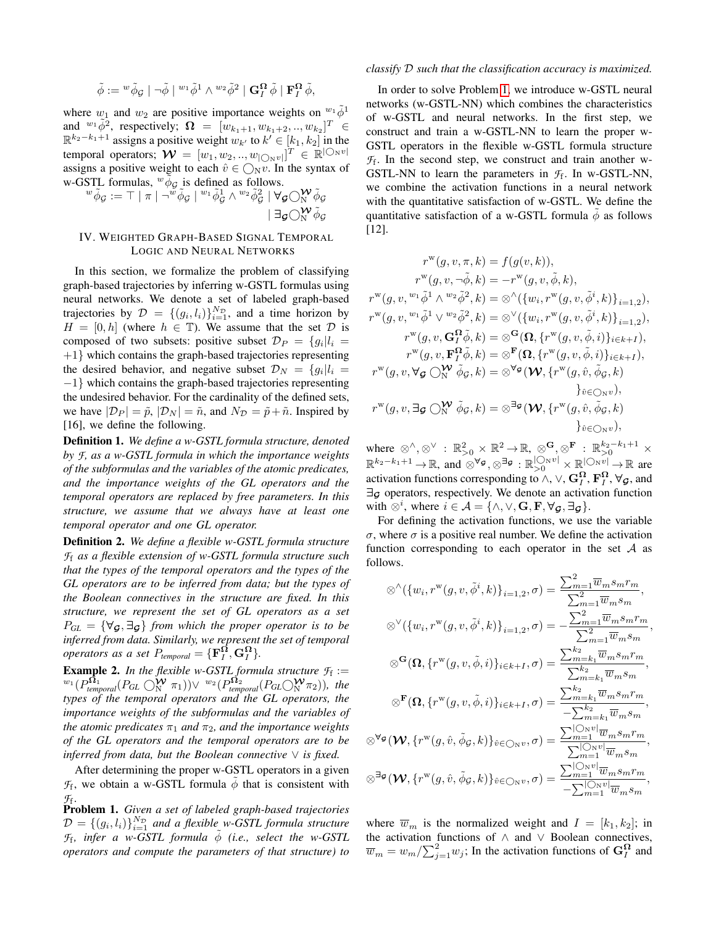$$
\tilde{\phi}:= {}^w \tilde{\phi}_{\mathcal{G}}\mid \neg \tilde{\phi}\mid {}^{w_1} \tilde{\phi}^1 \wedge {}^{w_2} \tilde{\phi}^2\mid \mathbf{G}^{\mathbf{\Omega}}_I\ \tilde{\phi}\mid \mathbf{F}^{\mathbf{\Omega}}_I\ \tilde{\phi},
$$

where  $w_1$  and  $w_2$  are positive importance weights on  $w_1 \phi^1$ and  $^{w_1} \tilde{\phi}^2$ , respectively;  $\Omega = [w_{k_1+1}, w_{k_1+2}, ..., w_{k_2}]^T \in$  $\mathbb{R}^{k_2-k_1+1}$  assigns a positive weight  $w_{k'}$  to  $k' \in [k_1, k_2]$  in the temporal operators;  $\mathcal{W} = [w_1, w_2, ..., w_{\vert \bigcirc_N v \vert}]^T \in \mathbb{R}^{\vert \bigcirc_N v \vert}$ assigns a positive weight to each  $\hat{v} \in \bigcirc_{N} v$ . In the syntax of w-GSTL formulas,  $\omega \phi_G$  is defined as follows.

$$
{}^w\tilde\phi_{\mathcal G}:={\top}\mid \pi\mid \neg {}^w\tilde\phi_{\mathcal G}\mid {}^{w_1}\tilde\phi_{\mathcal G}^1\wedge {}^{w_2}\tilde\phi_{\mathcal G}^2\mid \forall_{\mathcal G}\bigcirc \mathsf{N}^{\mathcal W}\tilde\phi_{\mathcal G}\\ \mid \exists_{\mathcal G}\bigcirc \mathsf{N}^{\mathcal W}\tilde\phi_{\mathcal G}
$$

#### IV. WEIGHTED GRAPH-BASED SIGNAL TEMPORAL LOGIC AND NEURAL NETWORKS

In this section, we formalize the problem of classifying graph-based trajectories by inferring w-GSTL formulas using neural networks. We denote a set of labeled graph-based trajectories by  $\mathcal{D} = \{(g_i, l_i)\}_{i=1}^{N_{\mathcal{D}}}$ , and a time horizon by  $H = [0, h]$  (where  $h \in \mathbb{T}$ ). We assume that the set  $\mathcal{D}$  is composed of two subsets: positive subset  $\mathcal{D}_P = \{g_i | l_i =$  $+1$ } which contains the graph-based trajectories representing the desired behavior, and negative subset  $\mathcal{D}_N = \{g_i | l_i =$ −1} which contains the graph-based trajectories representing the undesired behavior. For the cardinality of the defined sets, we have  $|\mathcal{D}_P| = \tilde{p}, |\mathcal{D}_N| = \tilde{n}$ , and  $N_{\mathcal{D}} = \tilde{p} + \tilde{n}$ . Inspired by [16], we define the following.

Definition 1. *We define a w-GSTL formula structure, denoted by F, as a w-GSTL formula in which the importance weights of the subformulas and the variables of the atomic predicates, and the importance weights of the GL operators and the temporal operators are replaced by free parameters. In this structure, we assume that we always have at least one temporal operator and one GL operator.*

Definition 2. *We define a flexible w-GSTL formula structure F*<sup>f</sup> *as a flexible extension of w-GSTL formula structure such that the types of the temporal operators and the types of the GL operators are to be inferred from data; but the types of the Boolean connectives in the structure are fixed. In this structure, we represent the set of GL operators as a set*  $P_{GL} = \{ \forall g, \exists g \}$  *from which the proper operator is to be inferred from data. Similarly, we represent the set of temporal operators as a set*  $P_{temporal} = {\mathbf{F}_I^{\Omega}, \mathbf{G}_I^{\Omega}}.$ 

**Example 2.** In the flexible w-GSTL formula structure  $\mathcal{F}_f :=$  $\frac{w_1}{p_{temporal}}(P_{GL} \bigcirc_N^{\mathbf{W}} \pi_1)$ ) $\vee w_2(P_{temporal}^{\mathbf{\Omega}_2}(P_{GL} \bigcirc_N^{\mathbf{W}} \pi_2)),$  the *types of the temporal operators and the GL operators, the importance weights of the subformulas and the variables of the atomic predicates*  $\pi_1$  *and*  $\pi_2$ *, and the importance weights of the GL operators and the temporal operators are to be inferred from data, but the Boolean connective* ∨ *is fixed.*

After determining the proper w-GSTL operators in a given  $\mathcal{F}_f$ , we obtain a w-GSTL formula  $\phi$  that is consistent with  $\mathcal{F}_{f}$ .

<span id="page-2-0"></span>Problem 1. *Given a set of labeled graph-based trajectories*  $D = \{(g_i, l_i)\}_{i=1}^{N_{\mathcal{D}}}$  and a flexible w-GSTL formula structure  $\mathcal{F}_f$ , infer a w-GSTL formula  $\phi$  *(i.e., select the w-GSTL operators and compute the parameters of that structure) to*

#### *classify* D *such that the classification accuracy is maximized.*

In order to solve Problem [1,](#page-2-0) we introduce w-GSTL neural networks (w-GSTL-NN) which combines the characteristics of w-GSTL and neural networks. In the first step, we construct and train a w-GSTL-NN to learn the proper w-GSTL operators in the flexible w-GSTL formula structure  $\mathcal{F}_f$ . In the second step, we construct and train another w-GSTL-NN to learn the parameters in  $\mathcal{F}_f$ . In w-GSTL-NN, we combine the activation functions in a neural network with the quantitative satisfaction of w-GSTL. We define the quantitative satisfaction of a w-GSTL formula  $\phi$  as follows [12].

$$
\begin{split} r^{\rm w}(g,v,\pi,k) &= f(g(v,k)),\\ r^{\rm w}(g,v,\neg\tilde{\phi},k) &= -r^{\rm w}(g,v,\tilde{\phi},k),\\ r^{\rm w}(g,v,\overset{w_1}{\phi^1}\wedge\overset{w_2}{\phi^2},k) &= \otimes^{\wedge}\left(\{w_i,r^{\rm w}(g,v,\tilde{\phi}^i,k)\}_{i=1,2}\right),\\ r^{\rm w}(g,v,\overset{w_1}{\phi^1}\vee\overset{w_2}{\phi^2},k) &= \otimes^{\vee}\left(\{w_i,r^{\rm w}(g,v,\tilde{\phi}^i,k)\}_{i=1,2}\right),\\ r^{\rm w}(g,v,\mathbf{G}^{\Omega}_I\tilde{\phi},k) &= \otimes^{\mathbf{G}}(\Omega,\{r^{\rm w}(g,v,\tilde{\phi},i)\}_{i\in k+I}),\\ r^{\rm w}(g,v,\mathbf{F}^{\Omega}_I\tilde{\phi},k) &= \otimes^{\mathbf{F}}(\Omega,\{r^{\rm w}(g,v,\tilde{\phi},i)\}_{i\in k+I}),\\ r^{\rm w}(g,v,\forall g\bigcirc{\mathbf{W}}_{\mathbf{W}}\tilde{\phi}_{\mathbf{G}},k) &= \otimes^{\forall g}(\mathbf{W},\{r^{\rm w}(g,\hat{v},\tilde{\phi}_{\mathbf{G}},k)\}_{\hat{v}\in\bigcirc{\mathbf{N}^{\rm v}}},\\ r^{\rm w}(g,v,\exists g\bigcirc{\mathbf{W}}_{\mathbf{W}}\tilde{\phi}_{\mathbf{G}},k) &= \otimes^{\exists g}(\mathbf{W},\{r^{\rm w}(g,\hat{v},\tilde{\phi}_{\mathbf{G}},k)\}_{\hat{v}\in\bigcirc{\mathbf{N}^{\rm v}}}),\\ &\}^{\hat{v}}_{\mathbf{C}}\infty_{\mathbf{N}^{\rm v}}, \end{split}
$$

where  $\otimes^{\wedge}, \otimes^{\vee} : \mathbb{R}^2_{>0} \times \mathbb{R}^2 \to \mathbb{R}, \otimes^{\mathbf{G}}, \otimes^{\mathbf{F}} : \mathbb{R}^{k_2-k_1+1}_{>0} \times$  $\mathbb{R}^{k_2-k_1+1} \to \mathbb{R}$ , and  $\otimes^{\forall g}$ ,  $\otimes^{\exists g} : \mathbb{R}_{>0}^{|\bigcirc{\mathrm{N}} v|} \times \mathbb{R}_{\sim}^{|\bigcirc{\mathrm{N}} v|} \to \mathbb{R}$  are activation functions corresponding to  $\wedge$ ,  $\vee$ ,  $\mathbf{G}_I^{\mathbf{\Omega}}, \mathbf{F}_I^{\mathbf{\Omega}}, \forall_{\mathcal{G}}$ , and ∃<sup>G</sup> operators, respectively. We denote an activation function with  $\otimes^i$ , where  $i \in \mathcal{A} = \{ \wedge, \vee, \mathbf{G}, \mathbf{F}, \forall \mathbf{g}, \exists \mathbf{g} \}.$ 

For defining the activation functions, we use the variable σ, where σ is a positive real number. We define the activation function corresponding to each operator in the set  $A$  as follows.

$$
\begin{split} \otimes^{\wedge}(\{w_i, r^{\mathrm{w}}(g, v, \tilde{\phi}^i, k)\}_{i=1,2}, \sigma) &= \frac{\sum_{m=1}^2 \overline{w}_m s_m r_m}{\sum_{m=1}^2 \overline{w}_m s_m}, \\ \otimes^{\vee}(\{w_i, r^{\mathrm{w}}(g, v, \tilde{\phi}^i, k)\}_{i=1,2}, \sigma) &= -\frac{\sum_{m=1}^2 \overline{w}_m s_m r_m}{\sum_{m=1}^2 \overline{w}_m s_m}, \\ \otimes^{\mathbf{G}}(\Omega, \{r^{\mathrm{w}}(g, v, \tilde{\phi}, i)\}_{i \in k+I}, \sigma) &= \frac{\sum_{m=k_1}^{k_2} \overline{w}_m s_m r_m}{\sum_{m=k_1}^{k_2} \overline{w}_m s_m}, \\ \otimes^{\mathbf{F}}(\Omega, \{r^{\mathrm{w}}(g, v, \tilde{\phi}, i)\}_{i \in k+I}, \sigma) &= \frac{\sum_{m=k_1}^{k_2} \overline{w}_m s_m r_m}{-\sum_{m=k_1}^{k_2} \overline{w}_m s_m r_m}, \\ \otimes^{\forall \sigma}(\mathbf{W}, \{r^{\mathrm{w}}(g, \hat{v}, \tilde{\phi}_{\mathcal{G}}, k)\}_{\hat{v} \in \bigcirc_{\mathrm{N}} v}, \sigma) &= \frac{\sum_{m=1}^{|\bigcirc_{\mathrm{N}} v|} \overline{w}_m s_m r_m}{\sum_{m=1}^{|\bigcirc_{\mathrm{N}} v|} \overline{w}_m s_m r_m}, \\ \otimes^{\exists \sigma}(\mathbf{W}, \{r^{\mathrm{w}}(g, \hat{v}, \tilde{\phi}_{\mathcal{G}}, k)\}_{\hat{v} \in \bigcirc_{\mathrm{N}} v}, \sigma) &= \frac{\sum_{m=1}^{|\bigcirc_{\mathrm{N}} v|} \overline{w}_m s_m r_m}{-\sum_{m=1}^{|\bigcirc_{\mathrm{N}} v|} \overline{w}_m s_m r_m}}{\sum_{m=1}^{|\bigcirc_{\mathrm{N}} v|} \overline{w}_m s_m r_m}, \end{split}
$$

where  $\overline{w}_m$  is the normalized weight and  $I = [k_1, k_2]$ ; in the activation functions of ∧ and ∨ Boolean connectives,  $\overline{w}_m = w_m / \sum_{j=1}^2 w_j$ ; In the activation functions of  $\mathbf{G}_I^{\Omega}$  and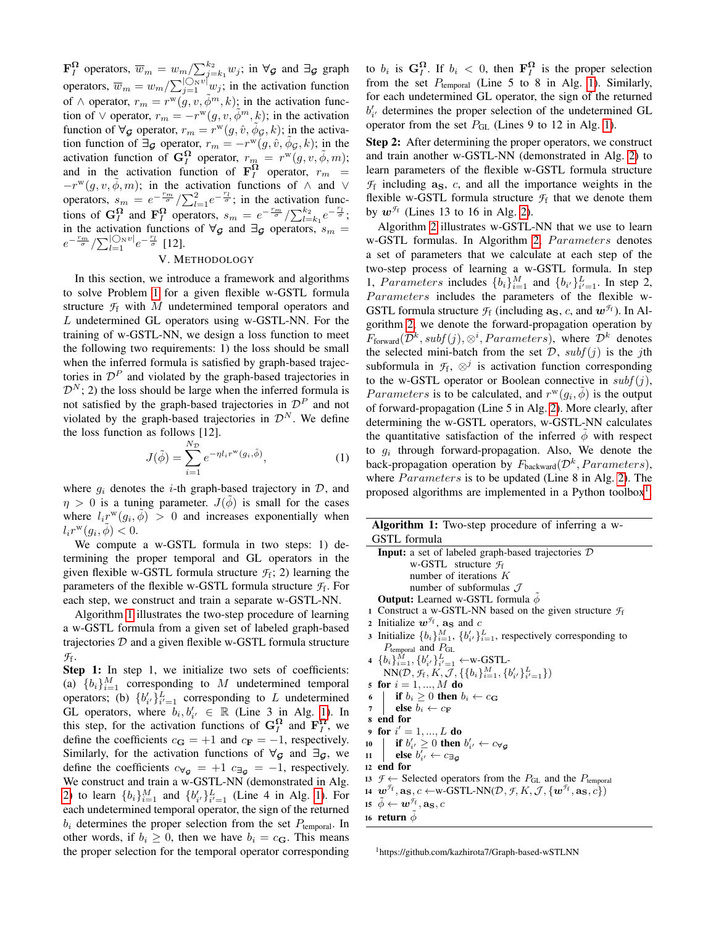$\mathbf{F}_I^{\Omega}$  operators,  $\overline{w}_m = w_m / \sum_{j=k_1}^{k_2} w_j$ ; in  $\forall g$  and  $\exists g$  graph operators,  $\overline{w}_m = w_m / \sum_{j=1}^{\lfloor \text{O}_{\text{N}} v \rfloor} w_j$ ; in the activation function of  $\wedge$  operator,  $r_m = r^w(g, v, \tilde{\phi}^m, k)$ ; in the activation function of  $\vee$  operator,  $r_m = -r^{w}(g, v, \tilde{\phi}^m, k)$ ; in the activation function of  $\forall g$  operator,  $r_m = r^w(g, \hat{v}, \tilde{\phi}_g, k)$ ; in the activation function of  $\exists g$  operator,  $r_m = -r^w(g, \hat{v}, \tilde{\phi}_g, k)$ ; in the activation function of  $G_I^{\Omega}$  operator,  $r_m = r^w(g, v, \tilde{\phi}, m);$ and in the activation function of  $\mathbf{F}_I^{\Omega}$  operator,  $r_m$  =  $-r^w(g, v, \tilde{\phi}, m)$ ; in the activation functions of  $\wedge$  and  $\vee$ operators,  $s_m = e^{-\frac{r_m}{\sigma}} / \sum_{l=1}^2 e^{-\frac{r_l}{\sigma}}$ ; in the activation functions of  $\mathbf{G}_I^{\Omega}$  and  $\mathbf{F}_I^{\Omega}$  operators,  $s_m = e^{-\frac{rm}{\sigma}} / \sum_{l=k_1}^{k_2} e^{-\frac{r_l}{\sigma}};$ in the activation functions of  $\forall g$  and  $\exists g$  operators,  $s_m$  =  $e^{-\frac{r_m}{\sigma}} / \sum_{l=1}^{\lfloor \bigcirc_N v \rfloor} e^{-\frac{r_l}{\sigma}}$  [12].

## V. METHODOLOGY

In this section, we introduce a framework and algorithms to solve Problem [1](#page-2-0) for a given flexible w-GSTL formula structure  $\mathcal{F}_f$  with M undetermined temporal operators and L undetermined GL operators using w-GSTL-NN. For the training of w-GSTL-NN, we design a loss function to meet the following two requirements: 1) the loss should be small when the inferred formula is satisfied by graph-based trajectories in  $\mathcal{D}^P$  and violated by the graph-based trajectories in  $\mathcal{D}^{N}$ ; 2) the loss should be large when the inferred formula is not satisfied by the graph-based trajectories in  $\mathcal{D}^P$  and not violated by the graph-based trajectories in  $\mathcal{D}^{N}$ . We define the loss function as follows [12].

$$
J(\tilde{\phi}) = \sum_{i=1}^{N_{\mathcal{D}}} e^{-\eta l_i r^{\mathbf{w}}(g_i, \tilde{\phi})},\tag{1}
$$

where  $g_i$  denotes the *i*-th graph-based trajectory in  $D$ , and  $\eta > 0$  is a tuning parameter.  $J(\phi)$  is small for the cases where  $l_i r^{\mathbf{w}}(g_i, \tilde{\phi}) > 0$  and increases exponentially when  $l_i r^{\mathbf{w}}(g_i, \tilde{\phi}) < 0.$ 

We compute a w-GSTL formula in two steps: 1) determining the proper temporal and GL operators in the given flexible w-GSTL formula structure  $\mathcal{F}_f$ ; 2) learning the parameters of the flexible w-GSTL formula structure *F*<sup>f</sup> . For each step, we construct and train a separate w-GSTL-NN.

Algorithm [1](#page-3-0) illustrates the two-step procedure of learning a w-GSTL formula from a given set of labeled graph-based trajectories  $D$  and a given flexible w-GSTL formula structure *F*f .

Step 1: In step 1, we initialize two sets of coefficients: (a)  ${b_i}_{i=1}^M$  corresponding to M undetermined temporal operators; (b)  ${b'_{i'}\}_{i'=1}^L$  corresponding to L undetermined GL operators, where  $b_i, b'_{i'} \in \mathbb{R}$  (Line 3 in Alg. [1\)](#page-3-0). In this step, for the activation functions of  $G_I^{\Omega}$  and  $\mathbf{F}_I^{\Omega}$ , we define the coefficients  $c_{\mathbf{G}} = +1$  and  $c_{\mathbf{F}} = -1$ , respectively. Similarly, for the activation functions of  $\forall$ G and  $\exists$ G, we define the coefficients  $c_{\forall g} = +1$   $c_{\exists g} = -1$ , respectively. We construct and train a w-GSTL-NN (demonstrated in Alg. [2\)](#page-4-0) to learn  $\{b_i\}_{i=1}^M$  and  $\{b'_{i'}\}_{i'=1}^L$  (Line 4 in Alg. [1\)](#page-3-0). For each undetermined temporal operator, the sign of the returned  $b_i$  determines the proper selection from the set  $P_{temporal}$ . In other words, if  $b_i \geq 0$ , then we have  $b_i = c_G$ . This means the proper selection for the temporal operator corresponding

to  $b_i$  is  $G_I^{\Omega}$ . If  $b_i < 0$ , then  $\mathbf{F}_I^{\Omega}$  is the proper selection from the set  $P_{temporal}$  (Line 5 to 8 in Alg. [1\)](#page-3-0). Similarly, for each undetermined GL operator, the sign of the returned  $b'_{i'}$  determines the proper selection of the undetermined GL operator from the set  $P_{GL}$  (Lines 9 to 12 in Alg. [1\)](#page-3-0).

Step 2: After determining the proper operators, we construct and train another w-GSTL-NN (demonstrated in Alg. [2\)](#page-4-0) to learn parameters of the flexible w-GSTL formula structure  $\mathcal{F}_f$  including  $a_S$ , c, and all the importance weights in the flexible w-GSTL formula structure  $\mathcal{F}_f$  that we denote them by  $w^{\mathcal{F}_f}$  (Lines 13 to 16 in Alg. [2\)](#page-4-0).

Algorithm [2](#page-4-0) illustrates w-GSTL-NN that we use to learn w-GSTL formulas. In Algorithm [2,](#page-4-0) Parameters denotes a set of parameters that we calculate at each step of the two-step process of learning a w-GSTL formula. In step 1, Parameters includes  $\{b_i\}_{i=1}^M$  and  $\{b_{i'}\}_{i'=1}^L$ . In step 2, Parameters includes the parameters of the flexible w-GSTL formula structure  $\mathcal{F}_f$  (including  $\mathbf{a}_\mathbf{S}$ , c, and  $\mathbf{w}^{\mathcal{F}_f}$ ). In Algorithm [2,](#page-4-0) we denote the forward-propagation operation by  $F_{\text{forward}}(\mathcal{D}^k, \text{subf}(j), \otimes^i, \text{Parameters}),$  where  $\mathcal{D}^k$  denotes the selected mini-batch from the set  $D$ ,  $subf(j)$  is the jth subformula in  $\mathcal{F}_f$ ,  $\otimes^j$  is activation function corresponding to the w-GSTL operator or Boolean connective in  $subf(j)$ , Parameters is to be calculated, and  $r^w(g_i, \tilde{\phi})$  is the output of forward-propagation (Line 5 in Alg. [2\)](#page-4-0). More clearly, after determining the w-GSTL operators, w-GSTL-NN calculates the quantitative satisfaction of the inferred  $\phi$  with respect to  $g_i$  through forward-propagation. Also, We denote the back-propagation operation by  $F_{\text{backward}}(\mathcal{D}^k, Parameters)$ , where  $Parameters$  is to be updated (Line 8 in Alg. [2\)](#page-4-0). The proposed algorithms are implemented in a Python toolbox<sup>[1](#page-0-0)</sup>.

<span id="page-3-1"></span>

| Algorithm 1: Two-step procedure of inferring a w- |                                                                                                                                                                                 |  |  |  |
|---------------------------------------------------|---------------------------------------------------------------------------------------------------------------------------------------------------------------------------------|--|--|--|
|                                                   | GSTL formula                                                                                                                                                                    |  |  |  |
|                                                   | <b>Input:</b> a set of labeled graph-based trajectories $D$                                                                                                                     |  |  |  |
|                                                   | w-GSTL structure $\mathcal{F}_f$                                                                                                                                                |  |  |  |
|                                                   | number of iterations $K$                                                                                                                                                        |  |  |  |
|                                                   | number of subformulas $\mathcal J$                                                                                                                                              |  |  |  |
|                                                   | <b>Output:</b> Learned w-GSTL formula $\phi$                                                                                                                                    |  |  |  |
|                                                   | 1 Construct a w-GSTL-NN based on the given structure $f_f$                                                                                                                      |  |  |  |
|                                                   | 2 Initialize $w^{\mathcal{F}_f}$ , as and c                                                                                                                                     |  |  |  |
|                                                   | 3 Initialize $\{b_i\}_{i=1}^M$ , $\{b'_{i'}\}_{i=1}^L$ , respectively corresponding to                                                                                          |  |  |  |
|                                                   | $P_{\text{temporal}}$ and $P_{\text{GL}}$                                                                                                                                       |  |  |  |
|                                                   | 4 $\{b_i\}_{i=1}^M$ , $\{b'_{i'}\}_{i'=1}^L$ $\leftarrow$ W-GSTL-                                                                                                               |  |  |  |
|                                                   | $NN(\mathcal{D}, \mathcal{F}_f, K, \mathcal{J}, \{\{b_i\}_{i=1}^M, \{b'_{i'}\}_{i'=1}^L\})$                                                                                     |  |  |  |
|                                                   | 5 for $i = 1, , M$ do                                                                                                                                                           |  |  |  |
|                                                   | 6 if $b_i \geq 0$ then $b_i \leftarrow c_{\mathbf{G}}$<br>7 else $b_i \leftarrow c_{\mathbf{F}}$                                                                                |  |  |  |
|                                                   |                                                                                                                                                                                 |  |  |  |
|                                                   | s end for                                                                                                                                                                       |  |  |  |
|                                                   | 9 for $i' = 1, , L$ do                                                                                                                                                          |  |  |  |
|                                                   | 10 if $b'_{i'} \geq 0$ then $b'_{i'} \leftarrow c_{\forall g}$                                                                                                                  |  |  |  |
| 11                                                | <b>else</b> $b'_{i'} \leftarrow c_{\exists \sigma}$                                                                                                                             |  |  |  |
|                                                   | 12 end for                                                                                                                                                                      |  |  |  |
|                                                   | 13 $\mathcal{F} \leftarrow$ Selected operators from the $P_{\text{GL}}$ and the $P_{\text{temporal}}$                                                                           |  |  |  |
|                                                   | 14 $\mathbf{w}^{\mathcal{F}_{f}}, \mathbf{a}_{S}, c \leftarrow \text{w-GSTL-NN}(\mathcal{D}, \mathcal{F}, K, \mathcal{J}, \{\mathbf{w}^{\mathcal{F}_{f}}, \mathbf{a}_{S}, c\})$ |  |  |  |
|                                                   | $\mathbf{u} \in \mathbf{w}^{\mathcal{F}_{\mathrm{f}}}, \mathbf{a}_{\mathbf{S}}, c$                                                                                              |  |  |  |
|                                                   | 16 return $\phi$                                                                                                                                                                |  |  |  |
|                                                   |                                                                                                                                                                                 |  |  |  |

<span id="page-3-0"></span><sup>1</sup>https://github.com/kazhirota7/Graph-based-wSTLNN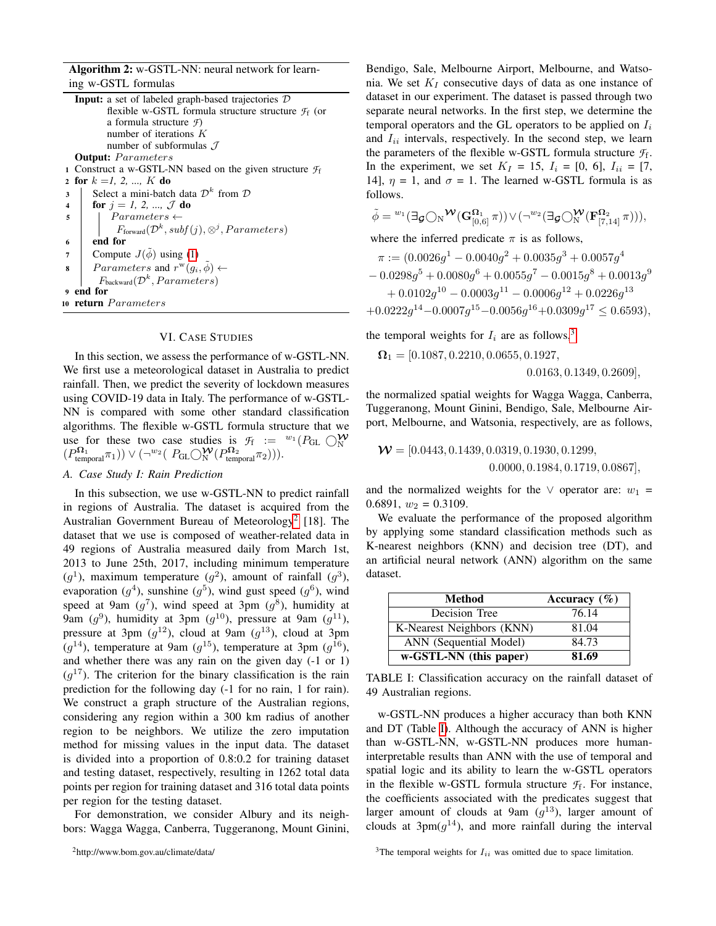Algorithm 2: w-GSTL-NN: neural network for learning w-GSTL formulas

|                         | <b>Input:</b> a set of labeled graph-based trajectories $D$                       |  |  |
|-------------------------|-----------------------------------------------------------------------------------|--|--|
|                         | flexible w-GSTL formula structure structure $\mathcal{F}_f$ (or                   |  |  |
|                         | a formula structure $\mathcal{F}$ )                                               |  |  |
|                         | number of iterations $K$                                                          |  |  |
|                         | number of subformulas $\mathcal J$                                                |  |  |
|                         | <b>Output:</b> Parameters                                                         |  |  |
|                         | 1 Construct a w-GSTL-NN based on the given structure $f_f$                        |  |  |
| $\overline{2}$          | for $k = 1, 2, , K$ do                                                            |  |  |
| 3                       | Select a mini-batch data $\mathcal{D}^k$ from $\mathcal D$                        |  |  |
| $\overline{\mathbf{4}}$ | <b>for</b> $j = 1, 2, , \mathcal{J}$ do                                           |  |  |
| 5                       | $Parameters \leftarrow$                                                           |  |  |
|                         | $F_{\text{forward}}(\mathcal{D}^k, \text{subf}(j), \otimes^j, \text{Parameters})$ |  |  |
| 6                       | end for                                                                           |  |  |
| 7                       | Compute $J(\phi)$ using (1)                                                       |  |  |
| 8                       | Parameters and $r^{\mathbf{w}}(q_i, \phi) \leftarrow$                             |  |  |
|                         | $F_{\text{backward}}(\mathcal{D}^k, Parameters)$                                  |  |  |
|                         | 9 end for                                                                         |  |  |
|                         | 10 <b>return</b> Parameters                                                       |  |  |
|                         |                                                                                   |  |  |

#### VI. CASE STUDIES

<span id="page-4-0"></span>In this section, we assess the performance of w-GSTL-NN. We first use a meteorological dataset in Australia to predict rainfall. Then, we predict the severity of lockdown measures using COVID-19 data in Italy. The performance of w-GSTL-NN is compared with some other standard classification algorithms. The flexible w-GSTL formula structure that we use for these two case studies is  $\mathcal{F}_f := {}^{w_1}(P_{GL} \bigcirc_N^{\mathbf{W}})$  $(P_{\text{temporal}}^{\Omega_1} \pi_1)$ )  $\vee (\neg^{w_2} (P_{\text{GL}} \bigcirc_N^{\mathbf{W}} (P_{\text{temporal}}^{\Omega_2} \pi_2))).$ 

#### *A. Case Study I: Rain Prediction*

In this subsection, we use w-GSTL-NN to predict rainfall in regions of Australia. The dataset is acquired from the Australian Government Bureau of Meteorology<sup>[2](#page-0-0)</sup> [18]. The dataset that we use is composed of weather-related data in 49 regions of Australia measured daily from March 1st, 2013 to June 25th, 2017, including minimum temperature  $(g<sup>1</sup>)$ , maximum temperature  $(g<sup>2</sup>)$ , amount of rainfall  $(g<sup>3</sup>)$ , evaporation  $(g^4)$ , sunshine  $(g^5)$ , wind gust speed  $(g^6)$ , wind speed at 9am  $(g^7)$ , wind speed at 3pm  $(g^8)$ , humidity at 9am  $(g^9)$ , humidity at 3pm  $(g^{10})$ , pressure at 9am  $(g^{11})$ , pressure at 3pm  $(g^{12})$ , cloud at 9am  $(g^{13})$ , cloud at 3pm  $(g^{14})$ , temperature at 9am  $(g^{15})$ , temperature at 3pm  $(g^{16})$ , and whether there was any rain on the given day (-1 or 1)  $(g^{17})$ . The criterion for the binary classification is the rain prediction for the following day (-1 for no rain, 1 for rain). We construct a graph structure of the Australian regions, considering any region within a 300 km radius of another region to be neighbors. We utilize the zero imputation method for missing values in the input data. The dataset is divided into a proportion of 0.8:0.2 for training dataset and testing dataset, respectively, resulting in 1262 total data points per region for training dataset and 316 total data points per region for the testing dataset.

For demonstration, we consider Albury and its neighbors: Wagga Wagga, Canberra, Tuggeranong, Mount Ginini, Bendigo, Sale, Melbourne Airport, Melbourne, and Watsonia. We set  $K_I$  consecutive days of data as one instance of dataset in our experiment. The dataset is passed through two separate neural networks. In the first step, we determine the temporal operators and the GL operators to be applied on  $I_i$ and  $I_{ii}$  intervals, respectively. In the second step, we learn the parameters of the flexible w-GSTL formula structure *F*<sup>f</sup> . In the experiment, we set  $K_I = 15$ ,  $I_i = [0, 6]$ ,  $I_{ii} = [7, 1]$ 14],  $\eta = 1$ , and  $\sigma = 1$ . The learned w-GSTL formula is as follows.

$$
\tilde{\phi} = {}^{w_1}(\exists \mathbf{g} \bigcirc \mathrm{N}{}^{\mathbf{W}}(\mathbf{G}^{\Omega_1}_{[0,6]}\pi)) \vee (\neg {}^{w_2}(\exists \mathbf{g} \bigcirc \mathrm{N}{}^{\mathbf{W}}(\mathbf{F}^{\Omega_2}_{[7,14]}\pi))),
$$

where the inferred predicate  $\pi$  is as follows,

$$
\pi := (0.0026g^{1} - 0.0040g^{2} + 0.0035g^{3} + 0.0057g^{4} - 0.0298g^{5} + 0.0080g^{6} + 0.0055g^{7} - 0.0015g^{8} + 0.0013g^{9} + 0.0102g^{10} - 0.0003g^{11} - 0.0006g^{12} + 0.0226g^{13} + 0.0222g^{14} - 0.0007g^{15} - 0.0056g^{16} + 0.0309g^{17} \le 0.6593),
$$

the temporal weights for  $I_i$  are as follows,<sup>[3](#page-0-0)</sup>

$$
\Omega_1 = [0.1087, 0.2210, 0.0655, 0.1927,
$$
  
0.0163, 0.1349, 0.2609],

the normalized spatial weights for Wagga Wagga, Canberra, Tuggeranong, Mount Ginini, Bendigo, Sale, Melbourne Airport, Melbourne, and Watsonia, respectively, are as follows,

$$
\mathbf{W} = [0.0443, 0.1439, 0.0319, 0.1930, 0.1299, 0.0000, 0.1984, 0.1719, 0.0867],
$$

and the normalized weights for the  $\vee$  operator are:  $w_1$  = 0.6891,  $w_2 = 0.3109$ .

We evaluate the performance of the proposed algorithm by applying some standard classification methods such as K-nearest neighbors (KNN) and decision tree (DT), and an artificial neural network (ANN) algorithm on the same dataset.

<span id="page-4-1"></span>

| Method                    | Accuracy $(\% )$ |
|---------------------------|------------------|
| Decision Tree             | 76.14            |
| K-Nearest Neighbors (KNN) | 81.04            |
| ANN (Sequential Model)    | 84.73            |
| w-GSTL-NN (this paper)    | 81.69            |

TABLE I: Classification accuracy on the rainfall dataset of 49 Australian regions.

w-GSTL-NN produces a higher accuracy than both KNN and DT (Table [I\)](#page-4-1). Although the accuracy of ANN is higher than w-GSTL-NN, w-GSTL-NN produces more humaninterpretable results than ANN with the use of temporal and spatial logic and its ability to learn the w-GSTL operators in the flexible w-GSTL formula structure  $\mathcal{F}_f$ . For instance, the coefficients associated with the predicates suggest that larger amount of clouds at 9am  $(g^{13})$ , larger amount of clouds at  $3pm(g^{14})$ , and more rainfall during the interval

<sup>3</sup>The temporal weights for  $I_{ii}$  was omitted due to space limitation.